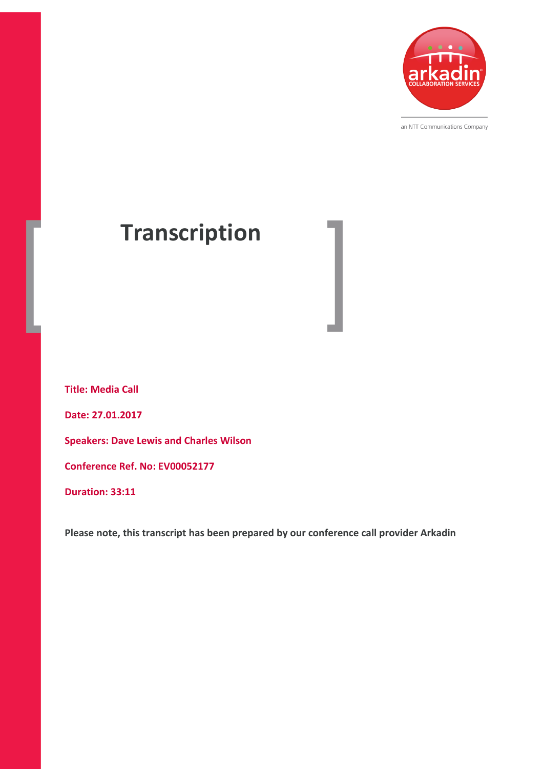

an NTT Communications Company

# **Transcription**

**Title: Media Call Date: 27.01.2017 Speakers: Dave Lewis and Charles Wilson Conference Ref. No: EV00052177 Duration: 33:11**

**Please note, this transcript has been prepared by our conference call provider Arkadin**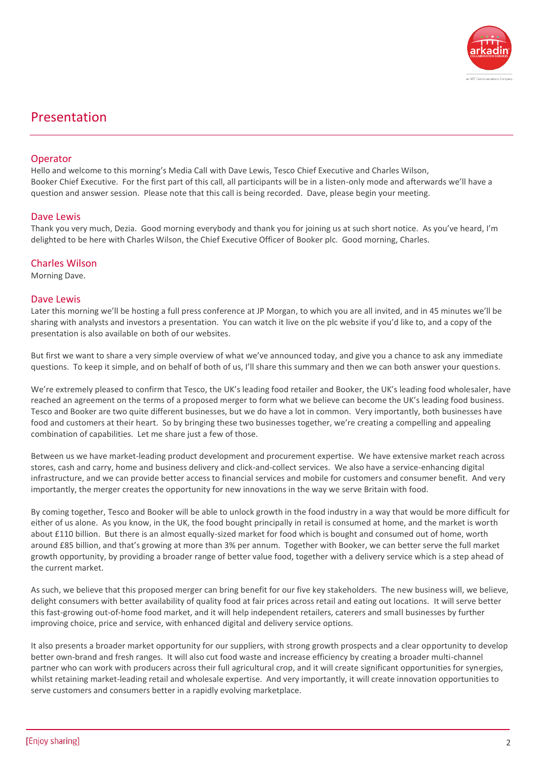

# Presentation

# **Operator**

Hello and welcome to this morning's Media Call with Dave Lewis, Tesco Chief Executive and Charles Wilson, Booker Chief Executive. For the first part of this call, all participants will be in a listen-only mode and afterwards we'll have a question and answer session. Please note that this call is being recorded. Dave, please begin your meeting.

# Dave Lewis

Thank you very much, Dezia. Good morning everybody and thank you for joining us at such short notice. As you've heard, I'm delighted to be here with Charles Wilson, the Chief Executive Officer of Booker plc. Good morning, Charles.

#### Charles Wilson

Morning Dave.

#### Dave Lewis

Later this morning we'll be hosting a full press conference at JP Morgan, to which you are all invited, and in 45 minutes we'll be sharing with analysts and investors a presentation. You can watch it live on the plc website if you'd like to, and a copy of the presentation is also available on both of our websites.

But first we want to share a very simple overview of what we've announced today, and give you a chance to ask any immediate questions. To keep it simple, and on behalf of both of us, I'll share this summary and then we can both answer your questions.

We're extremely pleased to confirm that Tesco, the UK's leading food retailer and Booker, the UK's leading food wholesaler, have reached an agreement on the terms of a proposed merger to form what we believe can become the UK's leading food business. Tesco and Booker are two quite different businesses, but we do have a lot in common. Very importantly, both businesses have food and customers at their heart. So by bringing these two businesses together, we're creating a compelling and appealing combination of capabilities. Let me share just a few of those.

Between us we have market-leading product development and procurement expertise. We have extensive market reach across stores, cash and carry, home and business delivery and click-and-collect services. We also have a service-enhancing digital infrastructure, and we can provide better access to financial services and mobile for customers and consumer benefit. And very importantly, the merger creates the opportunity for new innovations in the way we serve Britain with food.

By coming together, Tesco and Booker will be able to unlock growth in the food industry in a way that would be more difficult for either of us alone. As you know, in the UK, the food bought principally in retail is consumed at home, and the market is worth about £110 billion. But there is an almost equally-sized market for food which is bought and consumed out of home, worth around £85 billion, and that's growing at more than 3% per annum. Together with Booker, we can better serve the full market growth opportunity, by providing a broader range of better value food, together with a delivery service which is a step ahead of the current market.

As such, we believe that this proposed merger can bring benefit for our five key stakeholders. The new business will, we believe, delight consumers with better availability of quality food at fair prices across retail and eating out locations. It will serve better this fast-growing out-of-home food market, and it will help independent retailers, caterers and small businesses by further improving choice, price and service, with enhanced digital and delivery service options.

It also presents a broader market opportunity for our suppliers, with strong growth prospects and a clear opportunity to develop better own-brand and fresh ranges. It will also cut food waste and increase efficiency by creating a broader multi-channel partner who can work with producers across their full agricultural crop, and it will create significant opportunities for synergies, whilst retaining market-leading retail and wholesale expertise. And very importantly, it will create innovation opportunities to serve customers and consumers better in a rapidly evolving marketplace.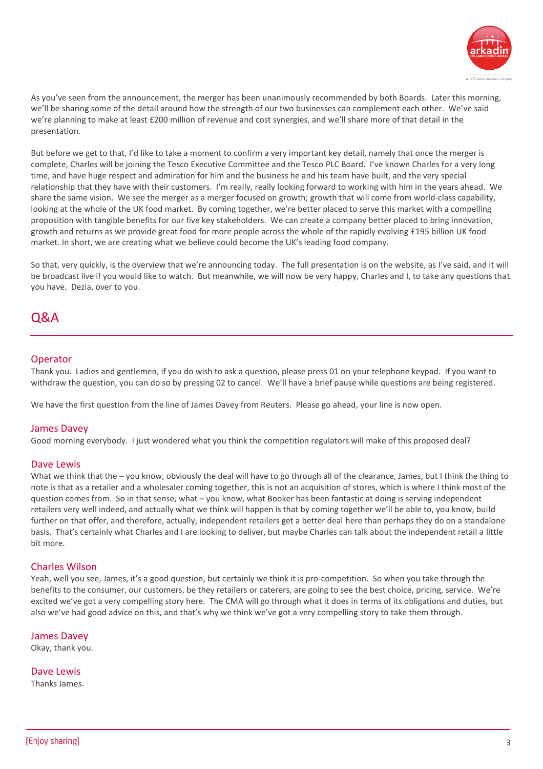

As you've seen from the announcement, the merger has been unanimously recommended by both Boards. Later this morning, we'll be sharing some of the detail around how the strength of our two businesses can complement each other. We've said we're planning to make at least £200 million of revenue and cost synergies, and we'll share more of that detail in the presentation.

But before we get to that, I'd like to take a moment to confirm a very important key detail, namely that once the merger is complete, Charles will be joining the Tesco Executive Committee and the Tesco PLC Board. I've known Charles for a very long time, and have huge respect and admiration for him and the business he and his team have built, and the very special relationship that they have with their customers. I'm really, really looking forward to working with him in the years ahead. We share the same vision. We see the merger as a merger focused on growth; growth that will come from world-class capability, looking at the whole of the UK food market. By coming together, we're better placed to serve this market with a compelling proposition with tangible benefits for our five key stakeholders. We can create a company better placed to bring innovation, growth and returns as we provide great food for more people across the whole of the rapidly evolving £195 billion UK food market. In short, we are creating what we believe could become the UK's leading food company.

So that, very quickly, is the overview that we're announcing today. The full presentation is on the website, as I've said, and it will be broadcast live if you would like to watch. But meanwhile, we will now be very happy, Charles and I, to take any questions that you have. Dezia, over to you.

# Q&A

# **Operator**

Thank you. Ladies and gentlemen, if you do wish to ask a question, please press 01 on your telephone keypad. If you want to withdraw the question, you can do so by pressing 02 to cancel. We'll have a brief pause while questions are being registered.

We have the first question from the line of James Davey from Reuters. Please go ahead, your line is now open.

# James Davey

Good morning everybody. I just wondered what you think the competition regulators will make of this proposed deal?

# Dave Lewis

What we think that the – you know, obviously the deal will have to go through all of the clearance, James, but I think the thing to note is that as a retailer and a wholesaler coming together, this is not an acquisition of stores, which is where I think most of the question comes from. So in that sense, what – you know, what Booker has been fantastic at doing is serving independent retailers very well indeed, and actually what we think will happen is that by coming together we'll be able to, you know, build further on that offer, and therefore, actually, independent retailers get a better deal here than perhaps they do on a standalone basis. That's certainly what Charles and I are looking to deliver, but maybe Charles can talk about the independent retail a little bit more.

# Charles Wilson

Yeah, well you see, James, it's a good question, but certainly we think it is pro-competition. So when you take through the benefits to the consumer, our customers, be they retailers or caterers, are going to see the best choice, pricing, service. We're excited we've got a very compelling story here. The CMA will go through what it does in terms of its obligations and duties, but also we've had good advice on this, and that's why we think we've got a very compelling story to take them through.

#### James Davey

Okay, thank you.

Dave Lewis Thanks James.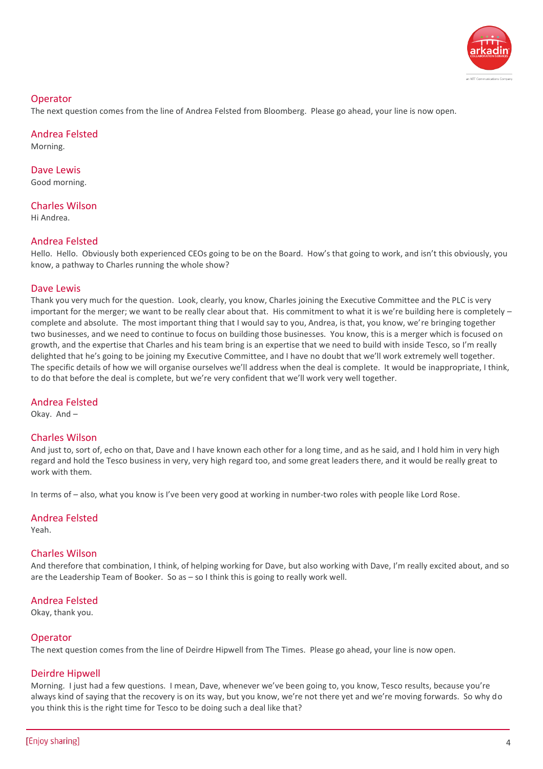

# **Operator**

The next question comes from the line of Andrea Felsted from Bloomberg. Please go ahead, your line is now open.

# Andrea Felsted

Morning.

Dave Lewis Good morning.

Charles Wilson

Hi Andrea.

# Andrea Felsted

Hello. Hello. Obviously both experienced CEOs going to be on the Board. How's that going to work, and isn't this obviously, you know, a pathway to Charles running the whole show?

# Dave Lewis

Thank you very much for the question. Look, clearly, you know, Charles joining the Executive Committee and the PLC is very important for the merger; we want to be really clear about that. His commitment to what it is we're building here is completely – complete and absolute. The most important thing that I would say to you, Andrea, is that, you know, we're bringing together two businesses, and we need to continue to focus on building those businesses. You know, this is a merger which is focused on growth, and the expertise that Charles and his team bring is an expertise that we need to build with inside Tesco, so I'm really delighted that he's going to be joining my Executive Committee, and I have no doubt that we'll work extremely well together. The specific details of how we will organise ourselves we'll address when the deal is complete. It would be inappropriate, I think, to do that before the deal is complete, but we're very confident that we'll work very well together.

# Andrea Felsted

Okay. And –

# Charles Wilson

And just to, sort of, echo on that, Dave and I have known each other for a long time, and as he said, and I hold him in very high regard and hold the Tesco business in very, very high regard too, and some great leaders there, and it would be really great to work with them.

In terms of – also, what you know is I've been very good at working in number-two roles with people like Lord Rose.

# Andrea Felsted

Yeah.

# Charles Wilson

And therefore that combination, I think, of helping working for Dave, but also working with Dave, I'm really excited about, and so are the Leadership Team of Booker. So as – so I think this is going to really work well.

# Andrea Felsted

Okay, thank you.

# **Operator**

The next question comes from the line of Deirdre Hipwell from The Times. Please go ahead, your line is now open.

# Deirdre Hipwell

Morning. I just had a few questions. I mean, Dave, whenever we've been going to, you know, Tesco results, because you're always kind of saying that the recovery is on its way, but you know, we're not there yet and we're moving forwards. So why do you think this is the right time for Tesco to be doing such a deal like that?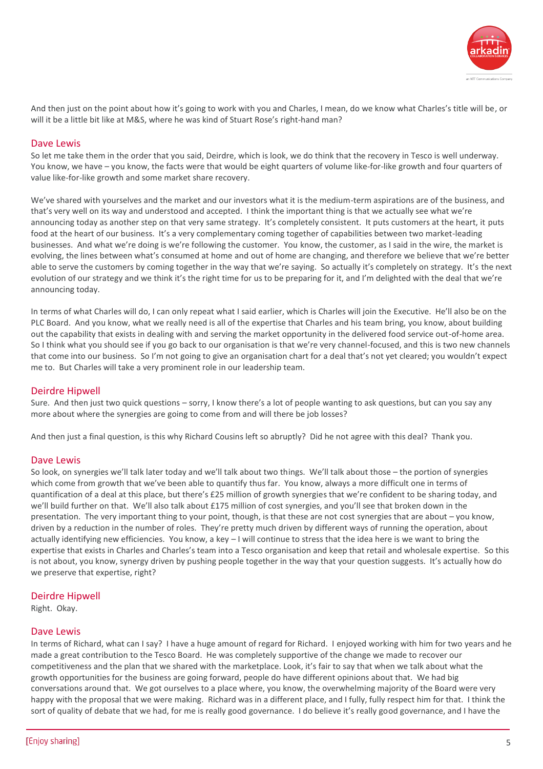

And then just on the point about how it's going to work with you and Charles, I mean, do we know what Charles's title will be, or will it be a little bit like at M&S, where he was kind of Stuart Rose's right-hand man?

# Dave Lewis

So let me take them in the order that you said, Deirdre, which is look, we do think that the recovery in Tesco is well underway. You know, we have – you know, the facts were that would be eight quarters of volume like-for-like growth and four quarters of value like-for-like growth and some market share recovery.

We've shared with yourselves and the market and our investors what it is the medium-term aspirations are of the business, and that's very well on its way and understood and accepted. I think the important thing is that we actually see what we're announcing today as another step on that very same strategy. It's completely consistent. It puts customers at the heart, it puts food at the heart of our business. It's a very complementary coming together of capabilities between two market-leading businesses. And what we're doing is we're following the customer. You know, the customer, as I said in the wire, the market is evolving, the lines between what's consumed at home and out of home are changing, and therefore we believe that we're better able to serve the customers by coming together in the way that we're saying. So actually it's completely on strategy. It's the next evolution of our strategy and we think it's the right time for us to be preparing for it, and I'm delighted with the deal that we're announcing today.

In terms of what Charles will do, I can only repeat what I said earlier, which is Charles will join the Executive. He'll also be on the PLC Board. And you know, what we really need is all of the expertise that Charles and his team bring, you know, about building out the capability that exists in dealing with and serving the market opportunity in the delivered food service out-of-home area. So I think what you should see if you go back to our organisation is that we're very channel-focused, and this is two new channels that come into our business. So I'm not going to give an organisation chart for a deal that's not yet cleared; you wouldn't expect me to. But Charles will take a very prominent role in our leadership team.

# Deirdre Hipwell

Sure. And then just two quick questions – sorry, I know there's a lot of people wanting to ask questions, but can you say any more about where the synergies are going to come from and will there be job losses?

And then just a final question, is this why Richard Cousins left so abruptly? Did he not agree with this deal? Thank you.

# Dave Lewis

So look, on synergies we'll talk later today and we'll talk about two things. We'll talk about those – the portion of synergies which come from growth that we've been able to quantify thus far. You know, always a more difficult one in terms of quantification of a deal at this place, but there's £25 million of growth synergies that we're confident to be sharing today, and we'll build further on that. We'll also talk about £175 million of cost synergies, and you'll see that broken down in the presentation. The very important thing to your point, though, is that these are not cost synergies that are about – you know, driven by a reduction in the number of roles. They're pretty much driven by different ways of running the operation, about actually identifying new efficiencies. You know, a key – I will continue to stress that the idea here is we want to bring the expertise that exists in Charles and Charles's team into a Tesco organisation and keep that retail and wholesale expertise. So this is not about, you know, synergy driven by pushing people together in the way that your question suggests. It's actually how do we preserve that expertise, right?

# Deirdre Hipwell

Right. Okay.

#### Dave Lewis

In terms of Richard, what can I say? I have a huge amount of regard for Richard. I enjoyed working with him for two years and he made a great contribution to the Tesco Board. He was completely supportive of the change we made to recover our competitiveness and the plan that we shared with the marketplace. Look, it's fair to say that when we talk about what the growth opportunities for the business are going forward, people do have different opinions about that. We had big conversations around that. We got ourselves to a place where, you know, the overwhelming majority of the Board were very happy with the proposal that we were making. Richard was in a different place, and I fully, fully respect him for that. I think the sort of quality of debate that we had, for me is really good governance. I do believe it's really good governance, and I have the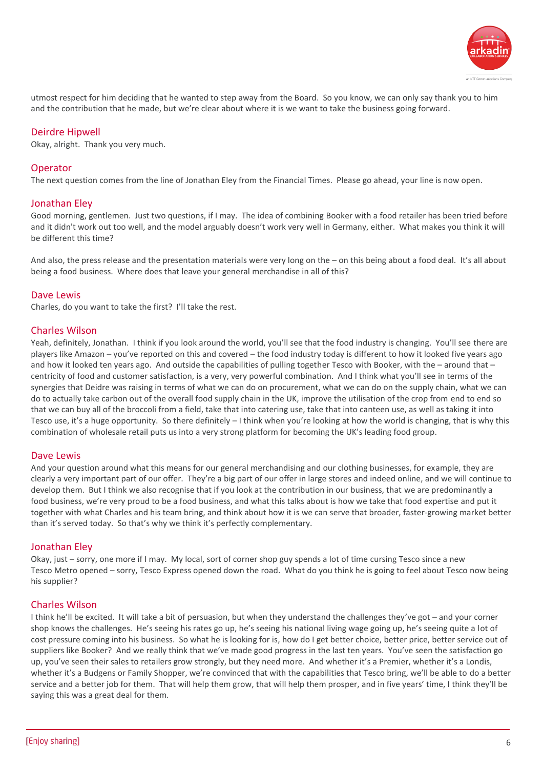

utmost respect for him deciding that he wanted to step away from the Board. So you know, we can only say thank you to him and the contribution that he made, but we're clear about where it is we want to take the business going forward.

# Deirdre Hipwell

Okay, alright. Thank you very much.

# **Operator**

The next question comes from the line of Jonathan Eley from the Financial Times. Please go ahead, your line is now open.

# Jonathan Eley

Good morning, gentlemen. Just two questions, if I may. The idea of combining Booker with a food retailer has been tried before and it didn't work out too well, and the model arguably doesn't work very well in Germany, either. What makes you think it will be different this time?

And also, the press release and the presentation materials were very long on the – on this being about a food deal. It's all about being a food business. Where does that leave your general merchandise in all of this?

#### Dave Lewis

Charles, do you want to take the first? I'll take the rest.

#### Charles Wilson

Yeah, definitely, Jonathan. I think if you look around the world, you'll see that the food industry is changing. You'll see there are players like Amazon – you've reported on this and covered – the food industry today is different to how it looked five years ago and how it looked ten years ago. And outside the capabilities of pulling together Tesco with Booker, with the – around that – centricity of food and customer satisfaction, is a very, very powerful combination. And I think what you'll see in terms of the synergies that Deidre was raising in terms of what we can do on procurement, what we can do on the supply chain, what we can do to actually take carbon out of the overall food supply chain in the UK, improve the utilisation of the crop from end to end so that we can buy all of the broccoli from a field, take that into catering use, take that into canteen use, as well as taking it into Tesco use, it's a huge opportunity. So there definitely – I think when you're looking at how the world is changing, that is why this combination of wholesale retail puts us into a very strong platform for becoming the UK's leading food group.

#### Dave Lewis

And your question around what this means for our general merchandising and our clothing businesses, for example, they are clearly a very important part of our offer. They're a big part of our offer in large stores and indeed online, and we will continue to develop them. But I think we also recognise that if you look at the contribution in our business, that we are predominantly a food business, we're very proud to be a food business, and what this talks about is how we take that food expertise and put it together with what Charles and his team bring, and think about how it is we can serve that broader, faster-growing market better than it's served today. So that's why we think it's perfectly complementary.

#### Jonathan Eley

Okay, just – sorry, one more if I may. My local, sort of corner shop guy spends a lot of time cursing Tesco since a new Tesco Metro opened – sorry, Tesco Express opened down the road. What do you think he is going to feel about Tesco now being his supplier?

# Charles Wilson

I think he'll be excited. It will take a bit of persuasion, but when they understand the challenges they've got – and your corner shop knows the challenges. He's seeing his rates go up, he's seeing his national living wage going up, he's seeing quite a lot of cost pressure coming into his business. So what he is looking for is, how do I get better choice, better price, better service out of suppliers like Booker? And we really think that we've made good progress in the last ten years. You've seen the satisfaction go up, you've seen their sales to retailers grow strongly, but they need more. And whether it's a Premier, whether it's a Londis, whether it's a Budgens or Family Shopper, we're convinced that with the capabilities that Tesco bring, we'll be able to do a better service and a better job for them. That will help them grow, that will help them prosper, and in five years' time, I think they'll be saying this was a great deal for them.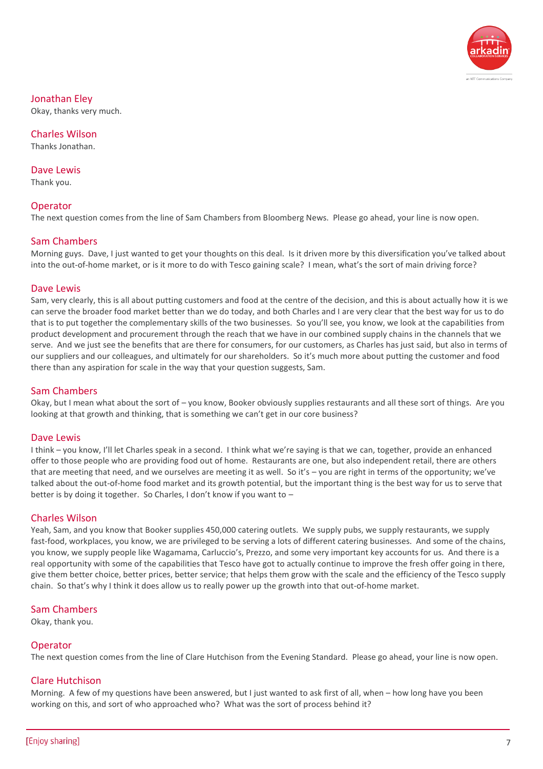

# Jonathan Eley

Okay, thanks very much.

Charles Wilson Thanks Jonathan.

Dave Lewis Thank you.

# Operator

The next question comes from the line of Sam Chambers from Bloomberg News. Please go ahead, your line is now open.

# Sam Chambers

Morning guys. Dave, I just wanted to get your thoughts on this deal. Is it driven more by this diversification you've talked about into the out-of-home market, or is it more to do with Tesco gaining scale? I mean, what's the sort of main driving force?

# Dave Lewis

Sam, very clearly, this is all about putting customers and food at the centre of the decision, and this is about actually how it is we can serve the broader food market better than we do today, and both Charles and I are very clear that the best way for us to do that is to put together the complementary skills of the two businesses. So you'll see, you know, we look at the capabilities from product development and procurement through the reach that we have in our combined supply chains in the channels that we serve. And we just see the benefits that are there for consumers, for our customers, as Charles has just said, but also in terms of our suppliers and our colleagues, and ultimately for our shareholders. So it's much more about putting the customer and food there than any aspiration for scale in the way that your question suggests, Sam.

# Sam Chambers

Okay, but I mean what about the sort of – you know, Booker obviously supplies restaurants and all these sort of things. Are you looking at that growth and thinking, that is something we can't get in our core business?

# Dave Lewis

I think – you know, I'll let Charles speak in a second. I think what we're saying is that we can, together, provide an enhanced offer to those people who are providing food out of home. Restaurants are one, but also independent retail, there are others that are meeting that need, and we ourselves are meeting it as well. So it's – you are right in terms of the opportunity; we've talked about the out-of-home food market and its growth potential, but the important thing is the best way for us to serve that better is by doing it together. So Charles, I don't know if you want to –

# Charles Wilson

Yeah, Sam, and you know that Booker supplies 450,000 catering outlets. We supply pubs, we supply restaurants, we supply fast-food, workplaces, you know, we are privileged to be serving a lots of different catering businesses. And some of the chains, you know, we supply people like Wagamama, Carluccio's, Prezzo, and some very important key accounts for us. And there is a real opportunity with some of the capabilities that Tesco have got to actually continue to improve the fresh offer going in there, give them better choice, better prices, better service; that helps them grow with the scale and the efficiency of the Tesco supply chain. So that's why I think it does allow us to really power up the growth into that out-of-home market.

# Sam Chambers

Okay, thank you.

# **Operator**

The next question comes from the line of Clare Hutchison from the Evening Standard. Please go ahead, your line is now open.

# Clare Hutchison

Morning. A few of my questions have been answered, but I just wanted to ask first of all, when – how long have you been working on this, and sort of who approached who? What was the sort of process behind it?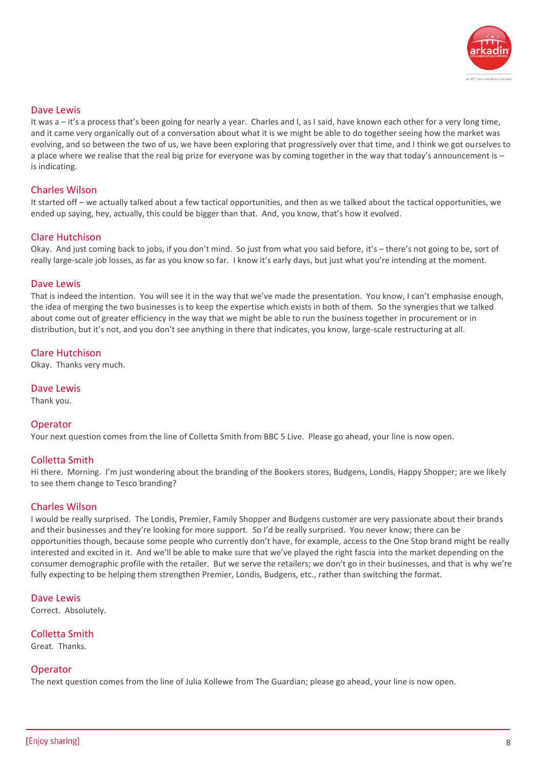

### Dave Lewis

It was a – it's a process that's been going for nearly a year. Charles and I, as I said, have known each other for a very long time, and it came very organically out of a conversation about what it is we might be able to do together seeing how the market was evolving, and so between the two of us, we have been exploring that progressively over that time, and I think we got ourselves to a place where we realise that the real big prize for everyone was by coming together in the way that today's announcement is – is indicating.

# Charles Wilson

It started off – we actually talked about a few tactical opportunities, and then as we talked about the tactical opportunities, we ended up saying, hey, actually, this could be bigger than that. And, you know, that's how it evolved.

# Clare Hutchison

Okay. And just coming back to jobs, if you don't mind. So just from what you said before, it's – there's not going to be, sort of really large-scale job losses, as far as you know so far. I know it's early days, but just what you're intending at the moment.

#### Dave Lewis

That is indeed the intention. You will see it in the way that we've made the presentation. You know, I can't emphasise enough, the idea of merging the two businesses is to keep the expertise which exists in both of them. So the synergies that we talked about come out of greater efficiency in the way that we might be able to run the business together in procurement or in distribution, but it's not, and you don't see anything in there that indicates, you know, large-scale restructuring at all.

#### Clare Hutchison

Okay. Thanks very much.

#### Dave Lewis

Thank you.

# Operator

Your next question comes from the line of Colletta Smith from BBC 5 Live. Please go ahead, your line is now open.

# Colletta Smith

Hi there. Morning. I'm just wondering about the branding of the Bookers stores, Budgens, Londis, Happy Shopper; are we likely to see them change to Tesco branding?

# Charles Wilson

I would be really surprised. The Londis, Premier, Family Shopper and Budgens customer are very passionate about their brands and their businesses and they're looking for more support. So I'd be really surprised. You never know; there can be opportunities though, because some people who currently don't have, for example, access to the One Stop brand might be really interested and excited in it. And we'll be able to make sure that we've played the right fascia into the market depending on the consumer demographic profile with the retailer. But we serve the retailers; we don't go in their businesses, and that is why we're fully expecting to be helping them strengthen Premier, Londis, Budgens, etc., rather than switching the format.

Dave Lewis Correct. Absolutely.

Colletta Smith Great. Thanks.

# **Operator**

The next question comes from the line of Julia Kollewe from The Guardian; please go ahead, your line is now open.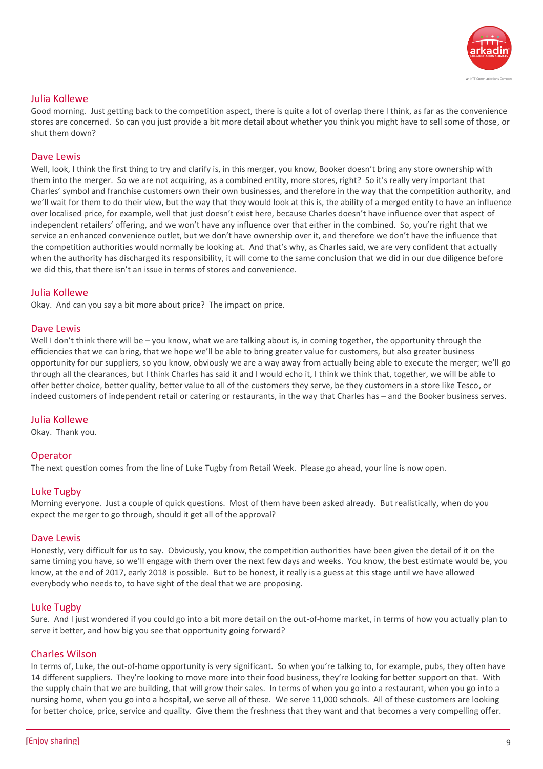

# Julia Kollewe

Good morning. Just getting back to the competition aspect, there is quite a lot of overlap there I think, as far as the convenience stores are concerned. So can you just provide a bit more detail about whether you think you might have to sell some of those, or shut them down?

# Dave Lewis

Well, look, I think the first thing to try and clarify is, in this merger, you know, Booker doesn't bring any store ownership with them into the merger. So we are not acquiring, as a combined entity, more stores, right? So it's really very important that Charles' symbol and franchise customers own their own businesses, and therefore in the way that the competition authority, and we'll wait for them to do their view, but the way that they would look at this is, the ability of a merged entity to have an influence over localised price, for example, well that just doesn't exist here, because Charles doesn't have influence over that aspect of independent retailers' offering, and we won't have any influence over that either in the combined. So, you're right that we service an enhanced convenience outlet, but we don't have ownership over it, and therefore we don't have the influence that the competition authorities would normally be looking at. And that's why, as Charles said, we are very confident that actually when the authority has discharged its responsibility, it will come to the same conclusion that we did in our due diligence before we did this, that there isn't an issue in terms of stores and convenience.

#### Julia Kollewe

Okay. And can you say a bit more about price? The impact on price.

#### Dave Lewis

Well I don't think there will be – you know, what we are talking about is, in coming together, the opportunity through the efficiencies that we can bring, that we hope we'll be able to bring greater value for customers, but also greater business opportunity for our suppliers, so you know, obviously we are a way away from actually being able to execute the merger; we'll go through all the clearances, but I think Charles has said it and I would echo it, I think we think that, together, we will be able to offer better choice, better quality, better value to all of the customers they serve, be they customers in a store like Tesco, or indeed customers of independent retail or catering or restaurants, in the way that Charles has – and the Booker business serves.

#### Julia Kollewe

Okay. Thank you.

# **Operator**

The next question comes from the line of Luke Tugby from Retail Week. Please go ahead, your line is now open.

# Luke Tugby

Morning everyone. Just a couple of quick questions. Most of them have been asked already. But realistically, when do you expect the merger to go through, should it get all of the approval?

#### Dave Lewis

Honestly, very difficult for us to say. Obviously, you know, the competition authorities have been given the detail of it on the same timing you have, so we'll engage with them over the next few days and weeks. You know, the best estimate would be, you know, at the end of 2017, early 2018 is possible. But to be honest, it really is a guess at this stage until we have allowed everybody who needs to, to have sight of the deal that we are proposing.

# Luke Tugby

Sure. And I just wondered if you could go into a bit more detail on the out-of-home market, in terms of how you actually plan to serve it better, and how big you see that opportunity going forward?

#### Charles Wilson

In terms of, Luke, the out-of-home opportunity is very significant. So when you're talking to, for example, pubs, they often have 14 different suppliers. They're looking to move more into their food business, they're looking for better support on that. With the supply chain that we are building, that will grow their sales. In terms of when you go into a restaurant, when you go into a nursing home, when you go into a hospital, we serve all of these. We serve 11,000 schools. All of these customers are looking for better choice, price, service and quality. Give them the freshness that they want and that becomes a very compelling offer.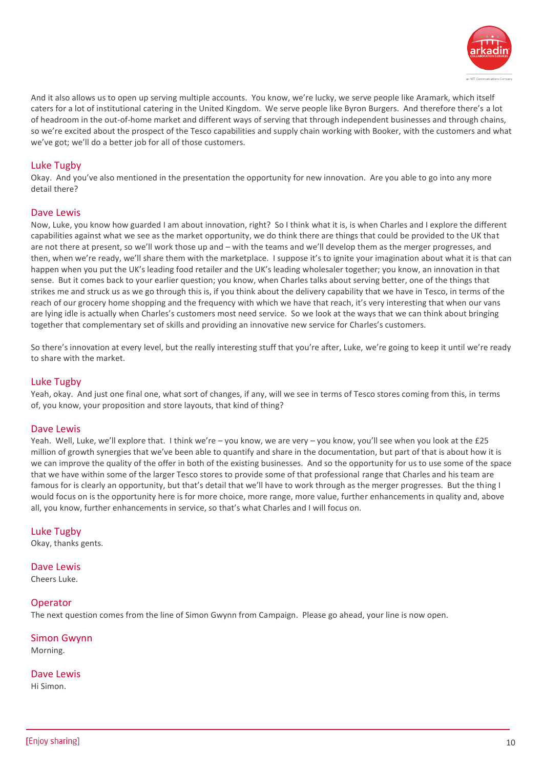

And it also allows us to open up serving multiple accounts. You know, we're lucky, we serve people like Aramark, which itself caters for a lot of institutional catering in the United Kingdom. We serve people like Byron Burgers. And therefore there's a lot of headroom in the out-of-home market and different ways of serving that through independent businesses and through chains, so we're excited about the prospect of the Tesco capabilities and supply chain working with Booker, with the customers and what we've got; we'll do a better job for all of those customers.

# Luke Tugby

Okay. And you've also mentioned in the presentation the opportunity for new innovation. Are you able to go into any more detail there?

#### Dave Lewis

Now, Luke, you know how guarded I am about innovation, right? So I think what it is, is when Charles and I explore the different capabilities against what we see as the market opportunity, we do think there are things that could be provided to the UK that are not there at present, so we'll work those up and – with the teams and we'll develop them as the merger progresses, and then, when we're ready, we'll share them with the marketplace. I suppose it's to ignite your imagination about what it is that can happen when you put the UK's leading food retailer and the UK's leading wholesaler together; you know, an innovation in that sense. But it comes back to your earlier question; you know, when Charles talks about serving better, one of the things that strikes me and struck us as we go through this is, if you think about the delivery capability that we have in Tesco, in terms of the reach of our grocery home shopping and the frequency with which we have that reach, it's very interesting that when our vans are lying idle is actually when Charles's customers most need service. So we look at the ways that we can think about bringing together that complementary set of skills and providing an innovative new service for Charles's customers.

So there's innovation at every level, but the really interesting stuff that you're after, Luke, we're going to keep it until we're ready to share with the market.

#### Luke Tugby

Yeah, okay. And just one final one, what sort of changes, if any, will we see in terms of Tesco stores coming from this, in terms of, you know, your proposition and store layouts, that kind of thing?

#### Dave Lewis

Yeah. Well, Luke, we'll explore that. I think we're – you know, we are very – you know, you'll see when you look at the £25 million of growth synergies that we've been able to quantify and share in the documentation, but part of that is about how it is we can improve the quality of the offer in both of the existing businesses. And so the opportunity for us to use some of the space that we have within some of the larger Tesco stores to provide some of that professional range that Charles and his team are famous for is clearly an opportunity, but that's detail that we'll have to work through as the merger progresses. But the thing I would focus on is the opportunity here is for more choice, more range, more value, further enhancements in quality and, above all, you know, further enhancements in service, so that's what Charles and I will focus on.

#### Luke Tugby

Okay, thanks gents.

# Dave Lewis

Cheers Luke.

#### **Operator**

The next question comes from the line of Simon Gwynn from Campaign. Please go ahead, your line is now open.

# Simon Gwynn

Morning.

#### Dave Lewis

Hi Simon.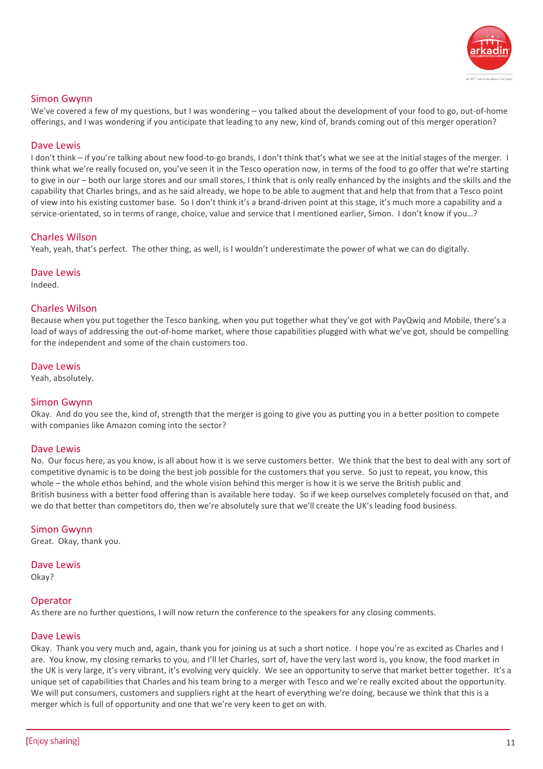

# Simon Gwynn

We've covered a few of my questions, but I was wondering – you talked about the development of your food to go, out-of-home offerings, and I was wondering if you anticipate that leading to any new, kind of, brands coming out of this merger operation?

# Dave Lewis

I don't think – if you're talking about new food-to-go brands, I don't think that's what we see at the initial stages of the merger. I think what we're really focused on, you've seen it in the Tesco operation now, in terms of the food to go offer that we're starting to give in our – both our large stores and our small stores, I think that is only really enhanced by the insights and the skills and the capability that Charles brings, and as he said already, we hope to be able to augment that and help that from that a Tesco point of view into his existing customer base. So I don't think it's a brand-driven point at this stage, it's much more a capability and a service-orientated, so in terms of range, choice, value and service that I mentioned earlier, Simon. I don't know if you…?

# Charles Wilson

Yeah, yeah, that's perfect. The other thing, as well, is I wouldn't underestimate the power of what we can do digitally.

#### Dave Lewis

Indeed.

# Charles Wilson

Because when you put together the Tesco banking, when you put together what they've got with PayQwiq and Mobile, there's a load of ways of addressing the out-of-home market, where those capabilities plugged with what we've got, should be compelling for the independent and some of the chain customers too.

# Dave Lewis

Yeah, absolutely.

# Simon Gwynn

Okay. And do you see the, kind of, strength that the merger is going to give you as putting you in a better position to compete with companies like Amazon coming into the sector?

# Dave Lewis

No. Our focus here, as you know, is all about how it is we serve customers better. We think that the best to deal with any sort of competitive dynamic is to be doing the best job possible for the customers that you serve. So just to repeat, you know, this whole – the whole ethos behind, and the whole vision behind this merger is how it is we serve the British public and British business with a better food offering than is available here today. So if we keep ourselves completely focused on that, and we do that better than competitors do, then we're absolutely sure that we'll create the UK's leading food business.

#### Simon Gwynn

Great. Okay, thank you.

# Dave Lewis

Okay?

# **Operator**

As there are no further questions, I will now return the conference to the speakers for any closing comments.

# Dave Lewis

Okay. Thank you very much and, again, thank you for joining us at such a short notice. I hope you're as excited as Charles and I are. You know, my closing remarks to you, and I'll let Charles, sort of, have the very last word is, you know, the food market in the UK is very large, it's very vibrant, it's evolving very quickly. We see an opportunity to serve that market better together. It's a unique set of capabilities that Charles and his team bring to a merger with Tesco and we're really excited about the opportunity. We will put consumers, customers and suppliers right at the heart of everything we're doing, because we think that this is a merger which is full of opportunity and one that we're very keen to get on with.